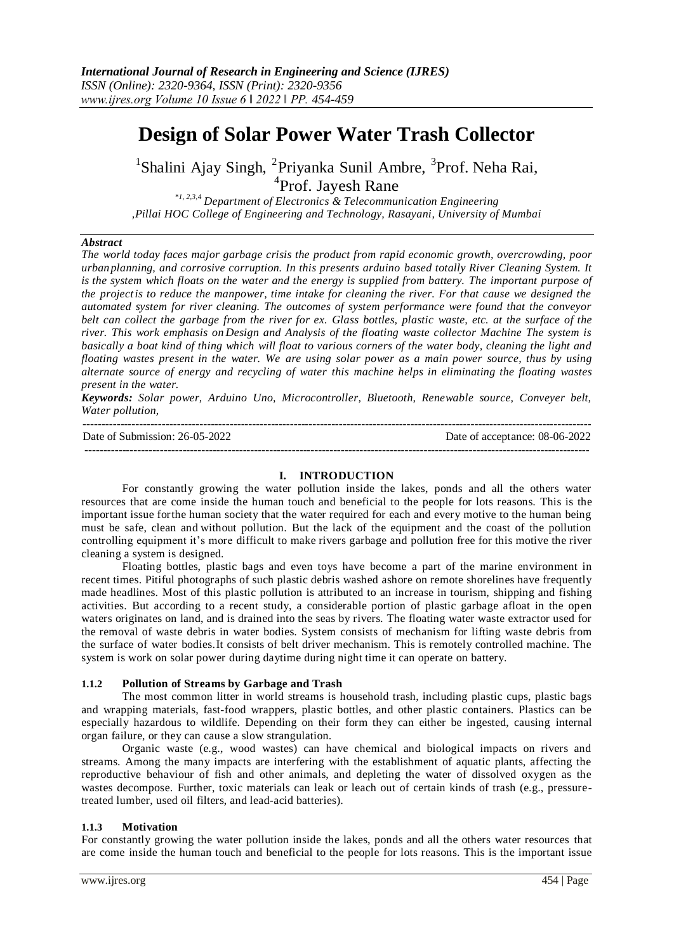---------------------------------------------------------------------------------------------------------------------------------------

# **Design of Solar Power Water Trash Collector**

<sup>1</sup>Shalini Ajay Singh, <sup>2</sup>Priyanka Sunil Ambre, <sup>3</sup>Prof. Neha Rai, <sup>4</sup>Prof. Jayesh Rane

*\*1, 2,3,4 Department of Electronics & Telecommunication Engineering ,Pillai HOC College of Engineering and Technology, Rasayani, University of Mumbai*

#### *Abstract*

*The world today faces major garbage crisis the product from rapid economic growth, overcrowding, poor urbanplanning, and corrosive corruption. In this presents arduino based totally River Cleaning System. It*  is the system which floats on the water and the energy is supplied from battery. The important purpose of *the projectis to reduce the manpower, time intake for cleaning the river. For that cause we designed the automated system for river cleaning. The outcomes of system performance were found that the conveyor belt can collect the garbage from the river for ex. Glass bottles, plastic waste, etc. at the surface of the river. This work emphasis on Design and Analysis of the floating waste collector Machine The system is basically a boat kind of thing which will float to various corners of the water body, cleaning the light and floating wastes present in the water. We are using solar power as a main power source, thus by using alternate source of energy and recycling of water this machine helps in eliminating the floating wastes present in the water.*

*Keywords: Solar power, Arduino Uno, Microcontroller, Bluetooth, Renewable source, Conveyer belt, Water pollution,*

Date of Submission: 26-05-2022 Date of acceptance: 08-06-2022

--------------------------------------------------------------------------------------------------------------------------------------

#### **I. INTRODUCTION**

For constantly growing the water pollution inside the lakes, ponds and all the others water resources that are come inside the human touch and beneficial to the people for lots reasons. This is the important issue forthe human society that the water required for each and every motive to the human being must be safe, clean and without pollution. But the lack of the equipment and the coast of the pollution controlling equipment it's more difficult to make rivers garbage and pollution free for this motive the river cleaning a system is designed.

Floating bottles, plastic bags and even toys have become a part of the marine environment in recent times. Pitiful photographs of such plastic debris washed ashore on remote shorelines have frequently made headlines. Most of this plastic pollution is attributed to an increase in tourism, shipping and fishing activities. But according to a recent study, a considerable portion of plastic garbage afloat in the open waters originates on land, and is drained into the seas by rivers. The floating water waste extractor used for the removal of waste debris in water bodies. System consists of mechanism for lifting waste debris from the surface of water bodies.It consists of belt driver mechanism. This is remotely controlled machine. The system is work on solar power during daytime during night time it can operate on battery.

#### **1.1.2 Pollution of Streams by Garbage and Trash**

The most common litter in world streams is household trash, including plastic cups, plastic bags and wrapping materials, fast-food wrappers, plastic bottles, and other plastic containers. Plastics can be especially hazardous to wildlife. Depending on their form they can either be ingested, causing internal organ failure, or they can cause a slow strangulation.

Organic waste (e.g., wood wastes) can have chemical and biological impacts on rivers and streams. Among the many impacts are interfering with the establishment of aquatic plants, affecting the reproductive behaviour of fish and other animals, and depleting the water of dissolved oxygen as the wastes decompose. Further, toxic materials can leak or leach out of certain kinds of trash (e.g., pressuretreated lumber, used oil filters, and lead-acid batteries).

#### **1.1.3 Motivation**

For constantly growing the water pollution inside the lakes, ponds and all the others water resources that are come inside the human touch and beneficial to the people for lots reasons. This is the important issue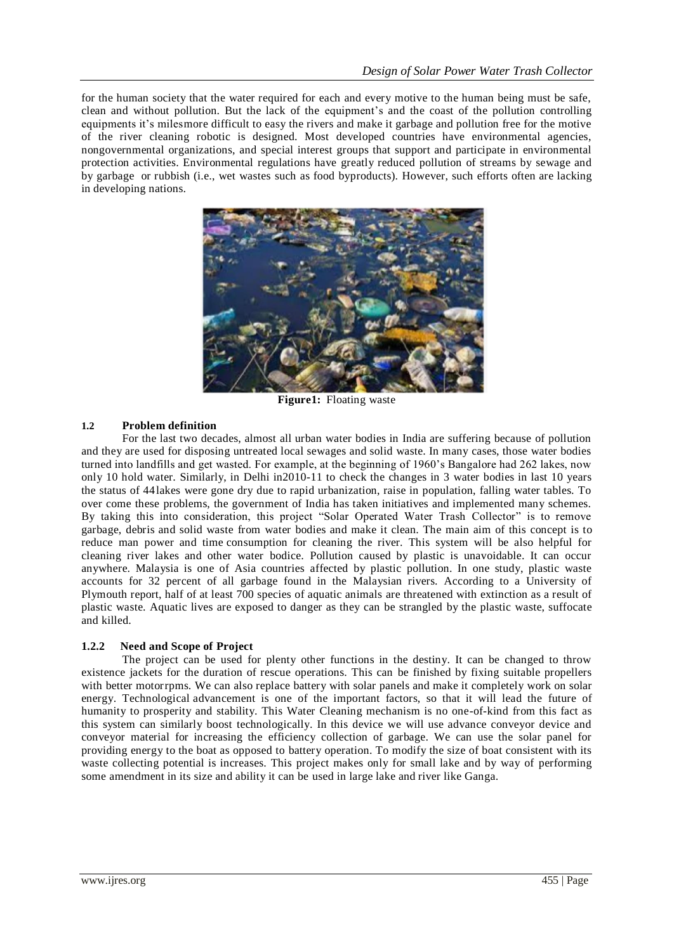for the human society that the water required for each and every motive to the human being must be safe, clean and without pollution. But the lack of the equipment's and the coast of the pollution controlling equipments it's milesmore difficult to easy the rivers and make it garbage and pollution free for the motive of the river cleaning robotic is designed. Most developed countries have environmental agencies, nongovernmental organizations, and special interest groups that support and participate in environmental protection activities. Environmental regulations have greatly reduced pollution of streams by sewage and by garbage or rubbish (i.e., wet wastes such as food byproducts). However, such efforts often are lacking in developing nations.



**Figure1:** Floating waste

## **1.2 Problem definition**

For the last two decades, almost all urban water bodies in India are suffering because of pollution and they are used for disposing untreated local sewages and solid waste. In many cases, those water bodies turned into landfills and get wasted. For example, at the beginning of 1960's Bangalore had 262 lakes, now only 10 hold water. Similarly, in Delhi in2010-11 to check the changes in 3 water bodies in last 10 years the status of 44lakes were gone dry due to rapid urbanization, raise in population, falling water tables. To over come these problems, the government of India has taken initiatives and implemented many schemes. By taking this into consideration, this project "Solar Operated Water Trash Collector" is to remove garbage, debris and solid waste from water bodies and make it clean. The main aim of this concept is to reduce man power and time consumption for cleaning the river. This system will be also helpful for cleaning river lakes and other water bodice. Pollution caused by plastic is unavoidable. It can occur anywhere. Malaysia is one of Asia countries affected by plastic pollution. In one study, plastic waste accounts for 32 percent of all garbage found in the Malaysian rivers. According to a University of Plymouth report, half of at least 700 species of aquatic animals are threatened with extinction as a result of plastic waste. Aquatic lives are exposed to danger as they can be strangled by the plastic waste, suffocate and killed.

## **1.2.2 Need and Scope of Project**

The project can be used for plenty other functions in the destiny. It can be changed to throw existence jackets for the duration of rescue operations. This can be finished by fixing suitable propellers with better motorrpms. We can also replace battery with solar panels and make it completely work on solar energy. Technological advancement is one of the important factors, so that it will lead the future of humanity to prosperity and stability. This Water Cleaning mechanism is no one-of-kind from this fact as this system can similarly boost technologically. In this device we will use advance conveyor device and conveyor material for increasing the efficiency collection of garbage. We can use the solar panel for providing energy to the boat as opposed to battery operation. To modify the size of boat consistent with its waste collecting potential is increases. This project makes only for small lake and by way of performing some amendment in its size and ability it can be used in large lake and river like Ganga.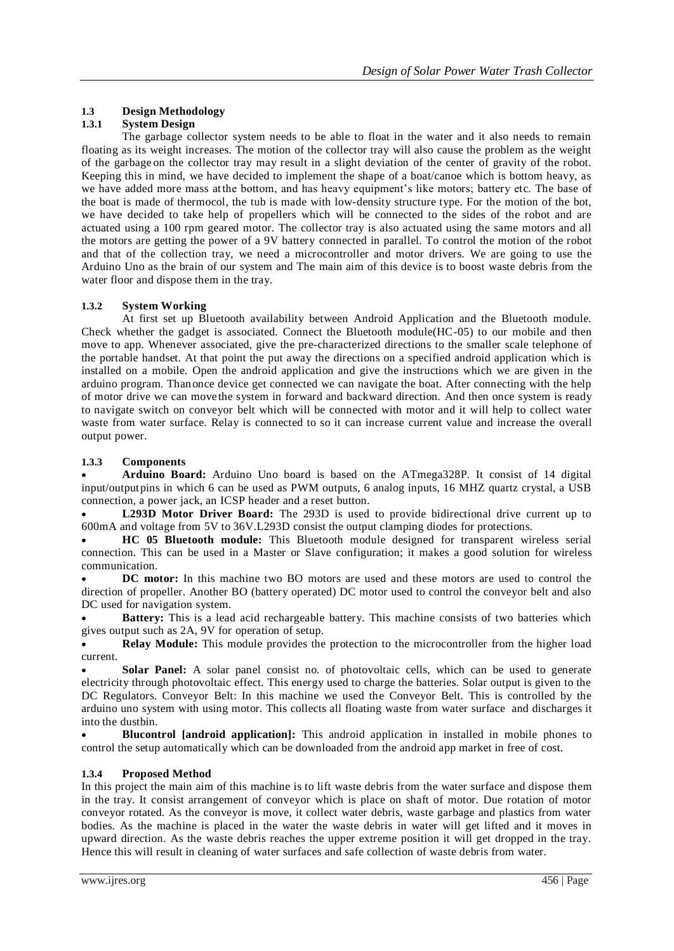## **1.3 Design Methodology**

## **1.3.1 System Design**

The garbage collector system needs to be able to float in the water and it also needs to remain floating as its weight increases. The motion of the collector tray will also cause the problem as the weight of the garbage on the collector tray may result in a slight deviation of the center of gravity of the robot. Keeping this in mind, we have decided to implement the shape of a boat/canoe which is bottom heavy, as we have added more mass atthe bottom, and has heavy equipment's like motors; battery etc. The base of the boat is made of thermocol, the tub is made with low-density structure type. For the motion of the bot, we have decided to take help of propellers which will be connected to the sides of the robot and are actuated using a 100 rpm geared motor. The collector tray is also actuated using the same motors and all the motors are getting the power of a 9V battery connected in parallel. To control the motion of the robot and that of the collection tray, we need a microcontroller and motor drivers. We are going to use the Arduino Uno as the brain of our system and The main aim of this device is to boost waste debris from the water floor and dispose them in the tray.

## **1.3.2 System Working**

At first set up Bluetooth availability between Android Application and the Bluetooth module. Check whether the gadget is associated. Connect the Bluetooth module(HC-05) to our mobile and then move to app. Whenever associated, give the pre-characterized directions to the smaller scale telephone of the portable handset. At that point the put away the directions on a specified android application which is installed on a mobile. Open the android application and give the instructions which we are given in the arduino program. Thanonce device get connected we can navigate the boat. After connecting with the help of motor drive we can move the system in forward and backward direction. And then once system is ready to navigate switch on conveyor belt which will be connected with motor and it will help to collect water waste from water surface. Relay is connected to so it can increase current value and increase the overall output power.

## **1.3.3 Components**

 **Arduino Board:** Arduino Uno board is based on the ATmega328P. It consist of 14 digital input/output pins in which 6 can be used as PWM outputs, 6 analog inputs, 16 MHZ quartz crystal, a USB connection, a power jack, an ICSP header and a reset button.

 **L293D Motor Driver Board:** The 293D is used to provide bidirectional drive current up to 600mA and voltage from 5V to 36V.L293D consist the output clamping diodes for protections.

 **HC 05 Bluetooth module:** This Bluetooth module designed for transparent wireless serial connection. This can be used in a Master or Slave configuration; it makes a good solution for wireless communication.

 **DC motor:** In this machine two BO motors are used and these motors are used to control the direction of propeller. Another BO (battery operated) DC motor used to control the conveyor belt and also DC used for navigation system.

 **Battery:** This is a lead acid rechargeable battery. This machine consists of two batteries which gives output such as 2A, 9V for operation of setup.

 **Relay Module:** This module provides the protection to the microcontroller from the higher load current.

 **Solar Panel:** A solar panel consist no. of photovoltaic cells, which can be used to generate electricity through photovoltaic effect. This energy used to charge the batteries. Solar output is given to the DC Regulators. Conveyor Belt: In this machine we used the Conveyor Belt. This is controlled by the arduino uno system with using motor. This collects all floating waste from water surface and discharges it into the dustbin.

 **Blucontrol [android application]:** This android application in installed in mobile phones to control the setup automatically which can be downloaded from the android app market in free of cost.

## **1.3.4 Proposed Method**

In this project the main aim of this machine is to lift waste debris from the water surface and dispose them in the tray. It consist arrangement of conveyor which is place on shaft of motor. Due rotation of motor conveyor rotated. As the conveyor is move, it collect water debris, waste garbage and plastics from water bodies. As the machine is placed in the water the waste debris in water will get lifted and it moves in upward direction. As the waste debris reaches the upper extreme position it will get dropped in the tray. Hence this will result in cleaning of water surfaces and safe collection of waste debris from water.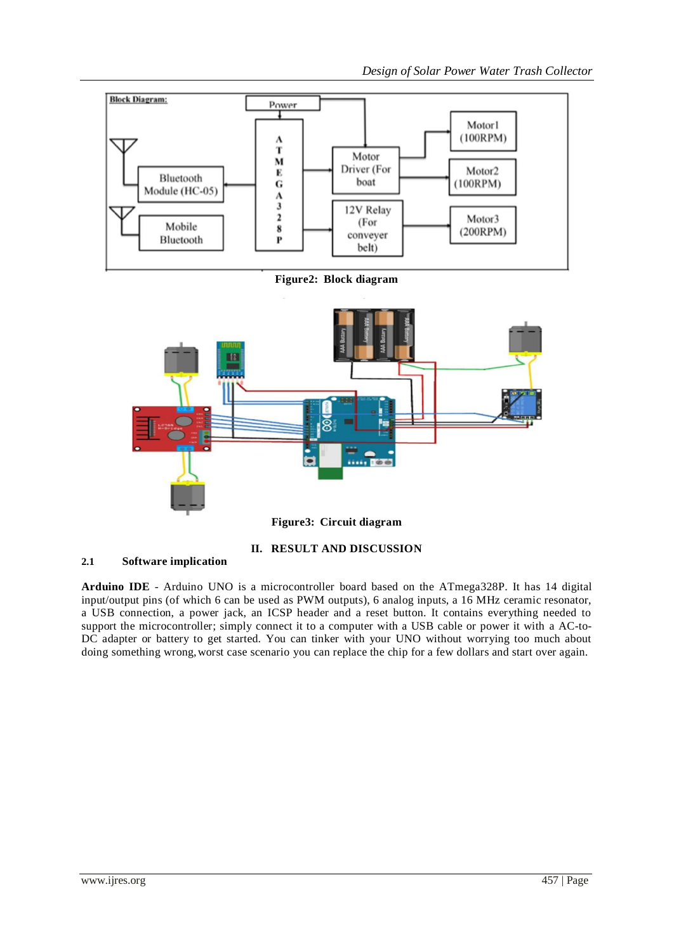*Design of Solar Power Water Trash Collector*



**Figure2: Block diagram**



# **II. RESULT AND DISCUSSION**

# **2.1 Software implication**

**Arduino IDE** - Arduino UNO is a microcontroller board based on the ATmega328P. It has 14 digital input/output pins (of which 6 can be used as PWM outputs), 6 analog inputs, a 16 MHz ceramic resonator, a USB connection, a power jack, an ICSP header and a reset button. It contains everything needed to support the microcontroller; simply connect it to a computer with a USB cable or power it with a AC-to-DC adapter or battery to get started. You can tinker with your UNO without worrying too much about doing something wrong,worst case scenario you can replace the chip for a few dollars and start over again.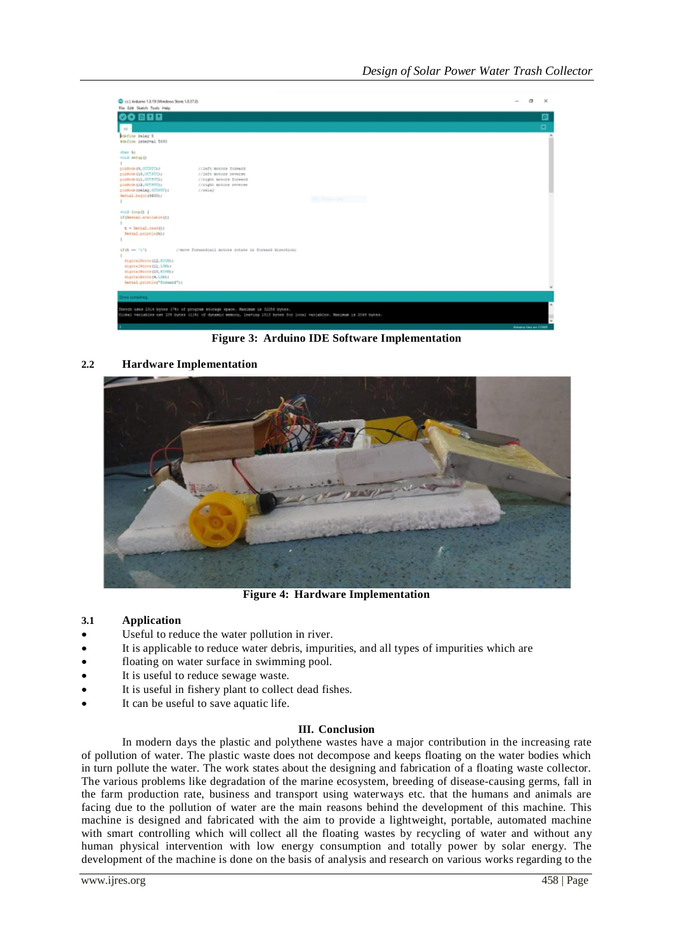| C ct   Arduino 1.8.19 Ollindows State 1.8.57.01<br>File Edit Sketch Tools Help                                                                                                                                                                                                                                                  | $\sigma$                | $\mathbf{\times}$ |
|---------------------------------------------------------------------------------------------------------------------------------------------------------------------------------------------------------------------------------------------------------------------------------------------------------------------------------|-------------------------|-------------------|
| 00 E E E                                                                                                                                                                                                                                                                                                                        |                         | ▣                 |
| <                                                                                                                                                                                                                                                                                                                               |                         | ۰                 |
| edefine relay 5<br>#define innerval 5000                                                                                                                                                                                                                                                                                        |                         |                   |
| chas by<br>VOIL MACKEO<br>//left motors forward<br>pinkode (9, 00799712)<br>pinBode (10,007,973);<br>//left motors reverse<br>pinBode (11, OUTPUT) r<br>//right motors forward<br>planning (12, OUTPIT) /<br>//sight motors reverse<br>pinmometeelay, OUTSUTE:<br>$1120$ LWT<br>Serial.begin(\$600);<br><b>ALL MONARCH SHOP</b> |                         |                   |
| Void loop (1 )<br>if (Berial.available(1)<br>t = Serial.readily<br>Serial.printin(t);                                                                                                                                                                                                                                           |                         |                   |
| $1545 = 1173$<br>//move foreasteall motors rotate is forward direction)<br>digitalWrite (12, 1393);<br>dogtne2Write{11.1OW};<br>40gLtaIWrite(10,8200)<br>digitalWrite(0,120);<br>Serial.println("forward");                                                                                                                     |                         |                   |
| Dies torquing.                                                                                                                                                                                                                                                                                                                  |                         |                   |
| Sietch uses 2314 bytes (78) of program storage space. Maximum is 32256 bytes.                                                                                                                                                                                                                                                   |                         |                   |
| Global variables use 235 bytes (119) of dynamic memory. Insving 1913 hytes for local variables. Manimum is 2048 bytes.                                                                                                                                                                                                          |                         |                   |
|                                                                                                                                                                                                                                                                                                                                 | Askalina Lites are COMB |                   |

**Figure 3: Arduino IDE Software Implementation**

## **2.2 Hardware Implementation**



**Figure 4: Hardware Implementation**

## **3.1 Application**

- Useful to reduce the water pollution in river.
- It is applicable to reduce water debris, impurities, and all types of impurities which are
- floating on water surface in swimming pool.
- It is useful to reduce sewage waste.
- It is useful in fishery plant to collect dead fishes.
- It can be useful to save aquatic life.

#### **III. Conclusion**

In modern days the plastic and polythene wastes have a major contribution in the increasing rate of pollution of water. The plastic waste does not decompose and keeps floating on the water bodies which in turn pollute the water. The work states about the designing and fabrication of a floating waste collector. The various problems like degradation of the marine ecosystem, breeding of disease-causing germs, fall in the farm production rate, business and transport using waterways etc. that the humans and animals are facing due to the pollution of water are the main reasons behind the development of this machine. This machine is designed and fabricated with the aim to provide a lightweight, portable, automated machine with smart controlling which will collect all the floating wastes by recycling of water and without any human physical intervention with low energy consumption and totally power by solar energy. The development of the machine is done on the basis of analysis and research on various works regarding to the